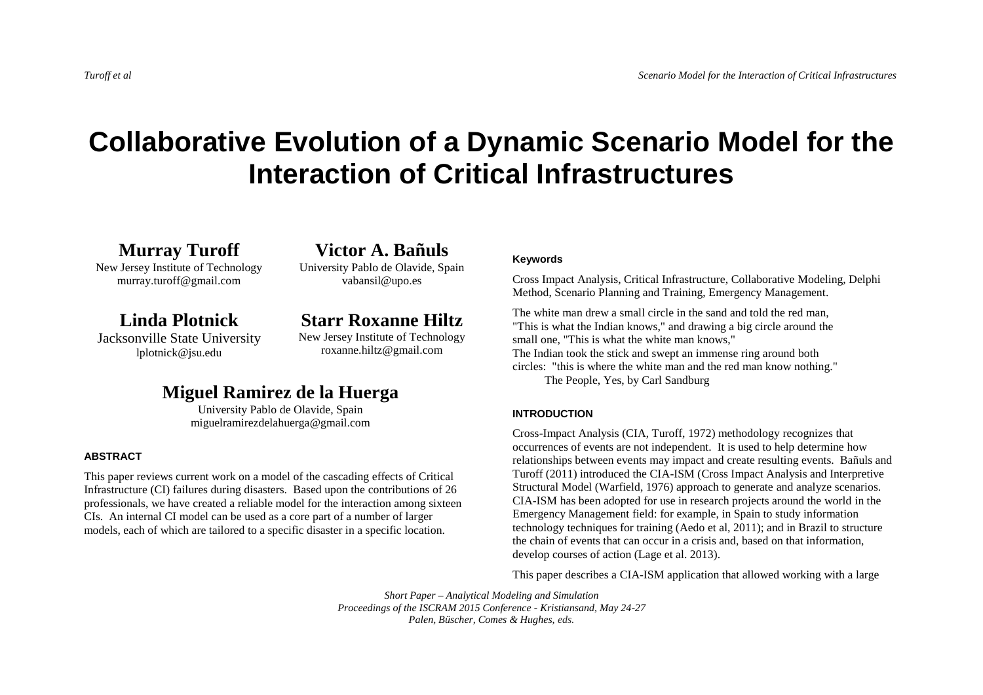# **Collaborative Evolution of a Dynamic Scenario Model for the Interaction of Critical Infrastructures**

**Murray Turoff**

New Jersey Institute of Technology murray.turoff@gmail.com

**Linda Plotnick**

Jacksonville State University lplotnick@jsu.edu

**Victor A. Bañuls** University Pablo de Olavide, Spain vabansil@upo.es

**Starr Roxanne Hiltz** New Jersey Institute of Technology roxanne.hiltz@gmail.com

## **Miguel Ramirez de la Huerga**

University Pablo de Olavide, Spain miguelramirezdelahuerga@gmail.com

### **ABSTRACT**

This paper reviews current work on a model of the cascading effects of Critical Infrastructure (CI) failures during disasters. Based upon the contributions of 26 professionals, we have created a reliable model for the interaction among sixteen CIs. An internal CI model can be used as a core part of a number of larger models, each of which are tailored to a specific disaster in a specific location.

### **Keywords**

Cross Impact Analysis, Critical Infrastructure, Collaborative Modeling, Delphi Method, Scenario Planning and Training, Emergency Management.

The white man drew a small circle in the sand and told the red man, "This is what the Indian knows," and drawing a big circle around the small one, "This is what the white man knows," The Indian took the stick and swept an immense ring around both circles: "this is where the white man and the red man know nothing."

The People, Yes, by Carl Sandburg

### **INTRODUCTION**

Cross-Impact Analysis (CIA, Turoff, 1972) methodology recognizes that occurrences of events are not independent. It is used to help determine how relationships between events may impact and create resulting events. Bañuls and Turoff (2011) introduced the CIA-ISM (Cross Impact Analysis and Interpretive Structural Model (Warfield, 1976) approach to generate and analyze scenarios. CIA-ISM has been adopted for use in research projects around the world in the Emergency Management field: for example, in Spain to study information technology techniques for training (Aedo et al, 2011); and in Brazil to structure the chain of events that can occur in a crisis and, based on that information, develop courses of action (Lage et al. 2013).

This paper describes a CIA-ISM application that allowed working with a large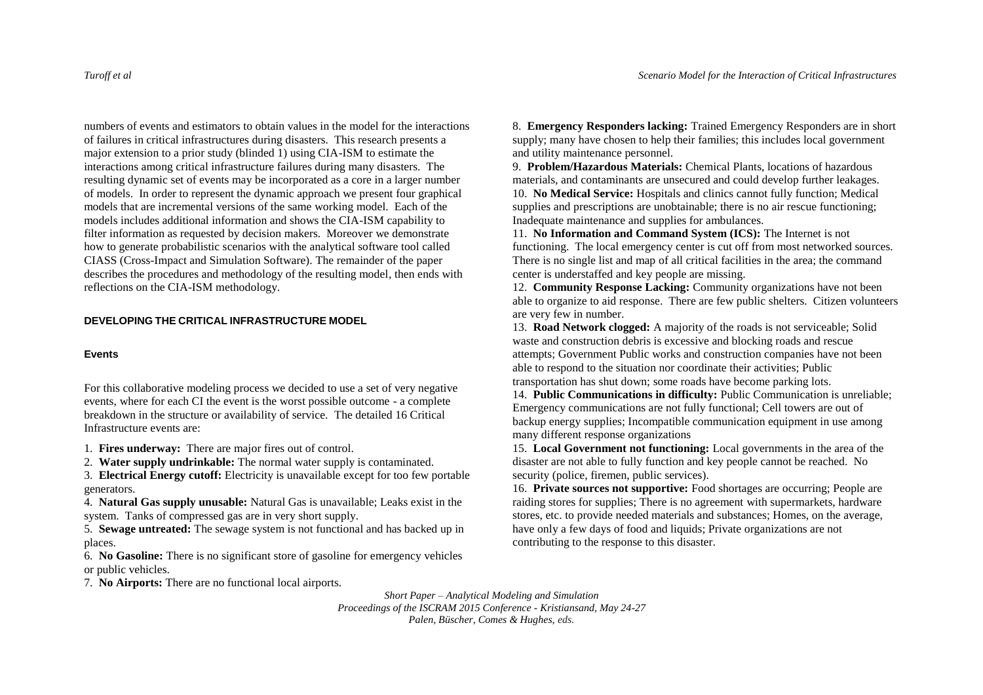numbers of events and estimators to obtain values in the model for the interactions of failures in critical infrastructures during disasters. This research presents a major extension to a prior study (blinded 1) using CIA-ISM to estimate the interactions among critical infrastructure failures during many disasters. The resulting dynamic set of events may be incorporated as a core in a larger number of models. In order to represent the dynamic approach we present four graphical models that are incremental versions of the same working model. Each of the models includes additional information and shows the CIA-ISM capability to filter information as requested by decision makers. Moreover we demonstrate how to generate probabilistic scenarios with the analytical software tool called CIASS (Cross-Impact and Simulation Software). The remainder of the paper describes the procedures and methodology of the resulting model, then ends with reflections on the CIA-ISM methodology.

### **DEVELOPING THE CRITICAL INFRASTRUCTURE MODEL**

### **Events**

For this collaborative modeling process we decided to use a set of very negative events, where for each CI the event is the worst possible outcome - a complete breakdown in the structure or availability of service. The detailed 16 Critical Infrastructure events are:

1. **Fires underway:** There are major fires out of control.

2. **Water supply undrinkable:** The normal water supply is contaminated.

3. **Electrical Energy cutoff:** Electricity is unavailable except for too few portable generators.

4. **Natural Gas supply unusable:** Natural Gas is unavailable; Leaks exist in the system. Tanks of compressed gas are in very short supply.

5. **Sewage untreated:** The sewage system is not functional and has backed up in places.

6. **No Gasoline:** There is no significant store of gasoline for emergency vehicles or public vehicles.

7. **No Airports:** There are no functional local airports.

8. **Emergency Responders lacking:** Trained Emergency Responders are in short supply; many have chosen to help their families; this includes local government and utility maintenance personnel.

9. **Problem/Hazardous Materials:** Chemical Plants, locations of hazardous materials, and contaminants are unsecured and could develop further leakages. 10. **No Medical Service:** Hospitals and clinics cannot fully function; Medical supplies and prescriptions are unobtainable; there is no air rescue functioning; Inadequate maintenance and supplies for ambulances.

11. **No Information and Command System (ICS):** The Internet is not functioning. The local emergency center is cut off from most networked sources. There is no single list and map of all critical facilities in the area; the command center is understaffed and key people are missing.

12. **Community Response Lacking:** Community organizations have not been able to organize to aid response. There are few public shelters. Citizen volunteers are very few in number.

13. **Road Network clogged:** A majority of the roads is not serviceable; Solid waste and construction debris is excessive and blocking roads and rescue attempts; Government Public works and construction companies have not been able to respond to the situation nor coordinate their activities; Public transportation has shut down; some roads have become parking lots.

14. **Public Communications in difficulty:** Public Communication is unreliable; Emergency communications are not fully functional; Cell towers are out of backup energy supplies; Incompatible communication equipment in use among many different response organizations

15. **Local Government not functioning:** Local governments in the area of the disaster are not able to fully function and key people cannot be reached. No security (police, firemen, public services).

16. **Private sources not supportive:** Food shortages are occurring; People are raiding stores for supplies; There is no agreement with supermarkets, hardware stores, etc. to provide needed materials and substances; Homes, on the average, have only a few days of food and liquids; Private organizations are not contributing to the response to this disaster.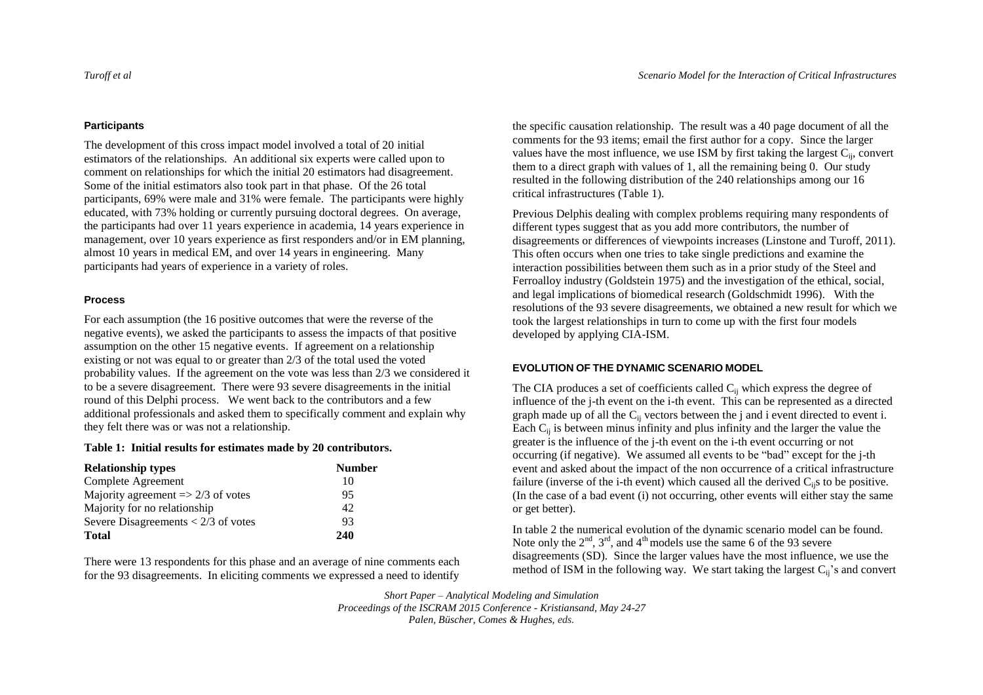### **Participants**

The development of this cross impact model involved a total of 20 initial estimators of the relationships. An additional six experts were called upon to comment on relationships for which the initial 20 estimators had disagreement. Some of the initial estimators also took part in that phase. Of the 26 total participants, 69% were male and 31% were female. The participants were highly educated, with 73% holding or currently pursuing doctoral degrees. On average, the participants had over 11 years experience in academia, 14 years experience in management, over 10 years experience as first responders and/or in EM planning, almost 10 years in medical EM, and over 14 years in engineering. Many participants had years of experience in a variety of roles.

### **Process**

For each assumption (the 16 positive outcomes that were the reverse of the negative events), we asked the participants to assess the impacts of that positive assumption on the other 15 negative events. If agreement on a relationship existing or not was equal to or greater than 2/3 of the total used the voted probability values. If the agreement on the vote was less than 2/3 we considered it to be a severe disagreement. There were 93 severe disagreements in the initial round of this Delphi process. We went back to the contributors and a few additional professionals and asked them to specifically comment and explain why they felt there was or was not a relationship.

### **Table 1: Initial results for estimates made by 20 contributors.**

| <b>Relationship types</b>                     | <b>Number</b> |
|-----------------------------------------------|---------------|
| Complete Agreement                            | 10            |
| Majority agreement $\Rightarrow$ 2/3 of votes | 95            |
| Majority for no relationship                  | 42            |
| Severe Disagreements $< 2/3$ of votes         | 93            |
| <b>Total</b>                                  | 240           |

There were 13 respondents for this phase and an average of nine comments each for the 93 disagreements. In eliciting comments we expressed a need to identify

the specific causation relationship. The result was a 40 page document of all the comments for the 93 items; email the first author for a copy. Since the larger values have the most influence, we use ISM by first taking the largest  $C_{ii}$ , convert them to a direct graph with values of 1, all the remaining being 0. Our study resulted in the following distribution of the 240 relationships among our 16 critical infrastructures (Table 1).

Previous Delphis dealing with complex problems requiring many respondents of different types suggest that as you add more contributors, the number of disagreements or differences of viewpoints increases (Linstone and Turoff, 2011). This often occurs when one tries to take single predictions and examine the interaction possibilities between them such as in a prior study of the Steel and Ferroalloy industry (Goldstein 1975) and the investigation of the ethical, social, and legal implications of biomedical research (Goldschmidt 1996). With the resolutions of the 93 severe disagreements, we obtained a new result for which we took the largest relationships in turn to come up with the first four models developed by applying CIA-ISM.

### **EVOLUTION OF THE DYNAMIC SCENARIO MODEL**

The CIA produces a set of coefficients called  $C_{ii}$  which express the degree of influence of the j-th event on the i-th event. This can be represented as a directed graph made up of all the  $C_{ii}$  vectors between the j and i event directed to event i. Each  $C_{ii}$  is between minus infinity and plus infinity and the larger the value the greater is the influence of the j-th event on the i-th event occurring or not occurring (if negative). We assumed all events to be "bad" except for the j-th event and asked about the impact of the non occurrence of a critical infrastructure failure (inverse of the i-th event) which caused all the derived  $C_{ii}$ s to be positive. (In the case of a bad event (i) not occurring, other events will either stay the same or get better).

In table 2 the numerical evolution of the dynamic scenario model can be found. Note only the  $2<sup>nd</sup>$ ,  $3<sup>rd</sup>$ , and  $4<sup>th</sup>$  models use the same 6 of the 93 severe disagreements (SD). Since the larger values have the most influence, we use the method of ISM in the following way. We start taking the largest  $C_{ii}$ 's and convert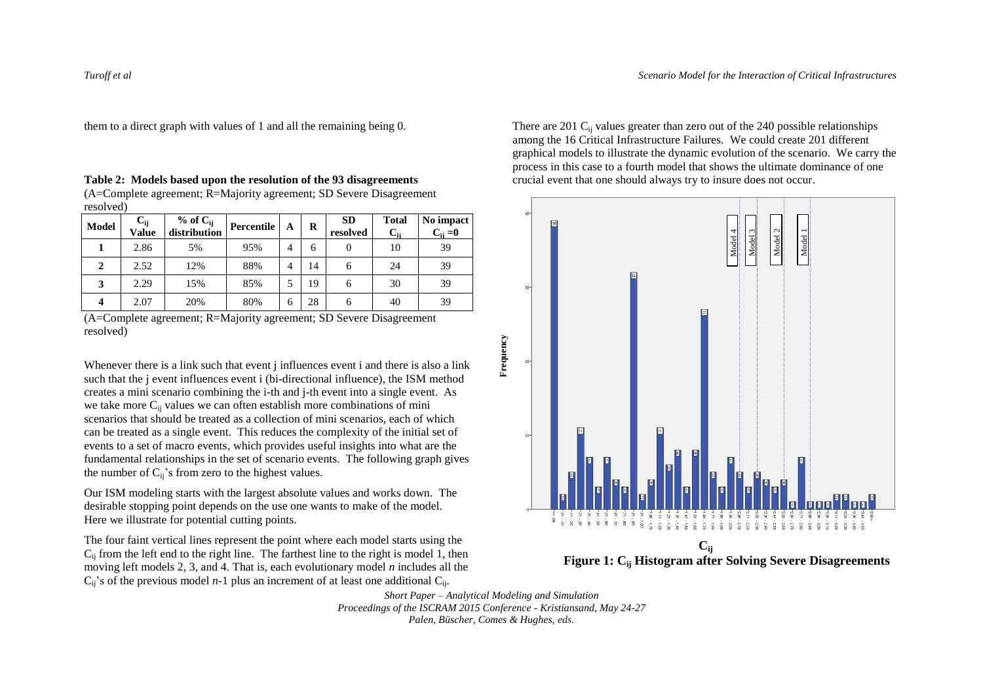them to a direct graph with values of 1 and all the remaining being 0.

**Table 2: Models based upon the resolution of the 93 disagreements** (A=Complete agreement; R=Majority agreement; SD Severe Disagreement resolved)

| <b>Model</b> | $C_{ij}$<br>Value | % of $C_{ii}$<br>distribution | Percentile | A | R  | <b>SD</b><br>resolved | <b>Total</b><br>∪∺ | No impact<br>$C_{ii} = 0$ |
|--------------|-------------------|-------------------------------|------------|---|----|-----------------------|--------------------|---------------------------|
|              | 2.86              | 5%                            | 95%        | 4 | 6  |                       | 10                 | 39                        |
| 2            | 2.52              | 12%                           | 88%        | 4 | 14 | n                     | 24                 | 39                        |
| 3            | 2.29              | 15%                           | 85%        |   | 19 | 6                     | 30                 | 39                        |
|              | 2.07              | 20%                           | 80%        | 6 | 28 | 6                     | 40                 | 39                        |

<sup>(</sup>A=Complete agreement; R=Majority agreement; SD Severe Disagreement resolved)

Whenever there is a link such that event *i* influences event *i* and there is also a link such that the j event influences event i (bi-directional influence), the ISM method creates a mini scenario combining the i-th and j-th event into a single event. As we take more C<sub>ij</sub> values we can often establish more combinations of mini scenarios that should be treated as a collection of mini scenarios, each of which can be treated as a single event. This reduces the complexity of the initial set of events to a set of macro events, which provides useful insights into what are the fundamental relationships in the set of scenario events. The following graph gives the number of  $C_{ii}$ 's from zero to the highest values.

Our ISM modeling starts with the largest absolute values and works down. The desirable stopping point depends on the use one wants to make of the model. Here we illustrate for potential cutting points.

The four faint vertical lines represent the point where each model starts using the  $C_{ii}$  from the left end to the right line. The farthest line to the right is model 1, then moving left models 2, 3, and 4. That is, each evolutionary model *n* includes all the  $C_{ii}$ 's of the previous model *n*-1 plus an increment of at least one additional  $C_{ii}$ .

There are 201  $\rm C_{ii}$  values greater than zero out of the 240 possible relationships among the 16 Critical Infrastructure Failures. We could create 201 different graphical models to illustrate the dynamic evolution of the scenario. We carry the process in this case to a fourth model that shows the ultimate dominance of one crucial event that one should always try to insure does not occur.



**Figure 1: Cij Histogram after Solving Severe Disagreements**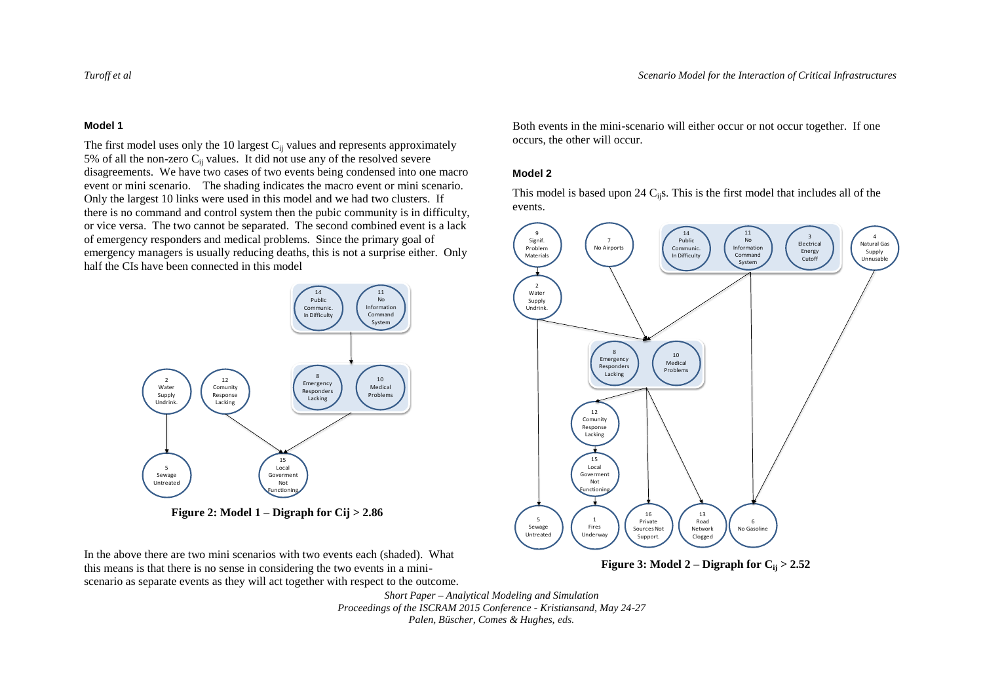### **Model 1**

The first model uses only the 10 largest  $C_{ij}$  values and represents approximately 5% of all the non-zero  $C_{ij}$  values. It did not use any of the resolved severe disagreements. We have two cases of two events being condensed into one macro event or mini scenario. The shading indicates the macro event or mini scenario. Only the largest 10 links were used in this model and we had two clusters. If there is no command and control system then the pubic community is in difficulty, or vice versa. The two cannot be separated. The second combined event is a lack of emergency responders and medical problems. Since the primary goal of emergency managers is usually reducing deaths, this is not a surprise either. Only half the CIs have been connected in this model



**Figure 2: Model 1 – Digraph for Cij > 2.86**

In the above there are two mini scenarios with two events each (shaded). What this means is that there is no sense in considering the two events in a miniscenario as separate events as they will act together with respect to the outcome. Both events in the mini-scenario will either occur or not occur together. If one occurs, the other will occur.

### **Model 2**

This model is based upon 24  $C_{ij}$ s. This is the first model that includes all of the events.



**Figure 3:** Model 2 – Digraph for  $C_i$   $> 2.52$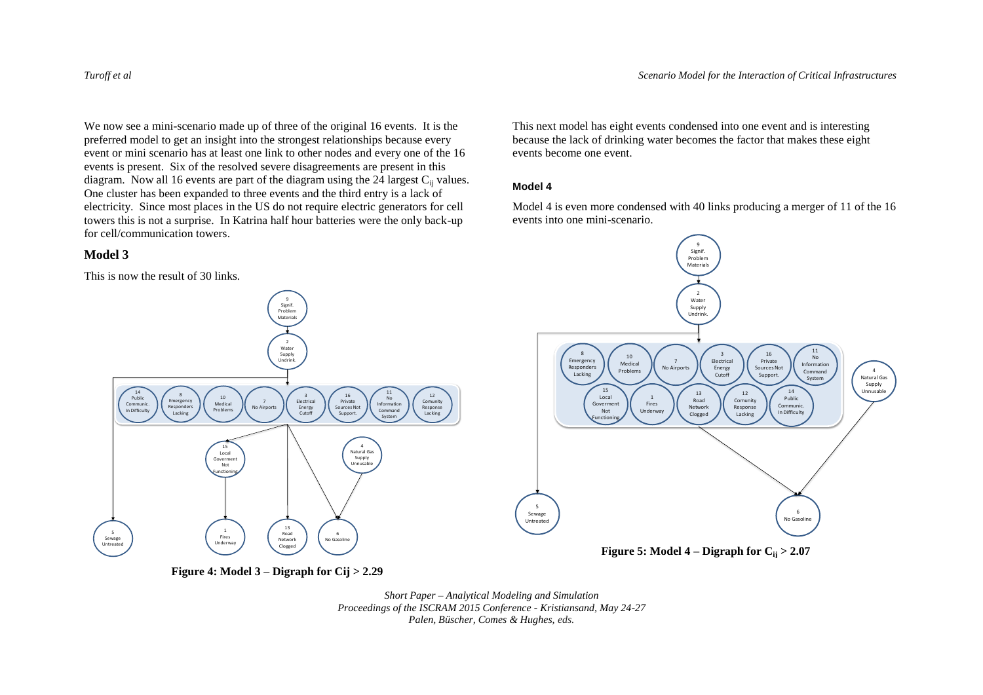4 Natural Gas Supply Unnusabl

We now see a mini-scenario made up of three of the original 16 events. It is the preferred model to get an insight into the strongest relationships because every event or mini scenario has at least one link to other nodes and every one of the 16 events is present. Six of the resolved severe disagreements are present in this diagram. Now all 16 events are part of the diagram using the  $24$  largest  $C_{ii}$  values. One cluster has been expanded to three events and the third entry is a lack of electricity. Since most places in the US do not require electric generators for cell towers this is not a surprise. In Katrina half hour batteries were the only back-up for cell/communication towers.

### **Model 3**

This is now the result of 30 links.

This next model has eight events condensed into one event and is interesting because the lack of drinking water becomes the factor that makes these eight events become one event.

### **Model 4**

Model 4 is even more condensed with 40 links producing a merger of 11 of the 16 events into one mini-scenario.



**Figure 4: Model 3 – Digraph for Cij > 2.29**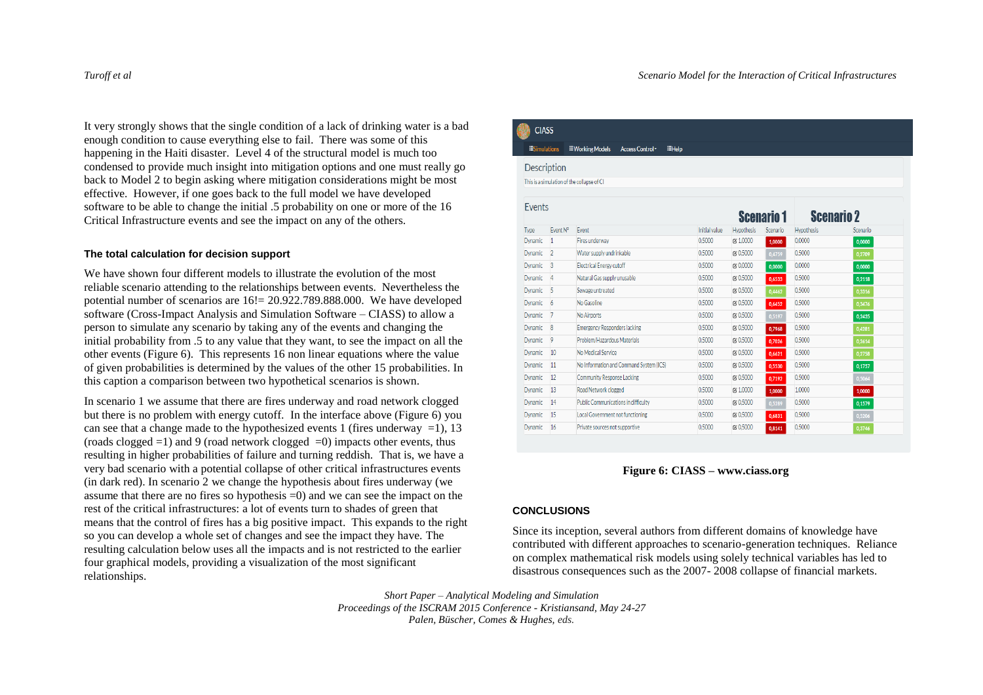It very strongly shows that the single condition of a lack of drinking water is a bad enough condition to cause everything else to fail. There was some of this happening in the Haiti disaster. Level 4 of the structural model is much too condensed to provide much insight into mitigation options and one must really go back to Model 2 to begin asking where mitigation considerations might be most effective. However, if one goes back to the full model we have developed software to be able to change the initial .5 probability on one or more of the 16 Critical Infrastructure events and see the impact on any of the others.

### **The total calculation for decision support**

We have shown four different models to illustrate the evolution of the most reliable scenario attending to the relationships between events. Nevertheless the potential number of scenarios are 16!= 20.922.789.888.000. We have developed software (Cross-Impact Analysis and Simulation Software – CIASS) to allow a person to simulate any scenario by taking any of the events and changing the initial probability from .5 to any value that they want, to see the impact on all the other events (Figure 6). This represents 16 non linear equations where the value of given probabilities is determined by the values of the other 15 probabilities. In this caption a comparison between two hypothetical scenarios is shown.

In scenario 1 we assume that there are fires underway and road network clogged but there is no problem with energy cutoff. In the interface above (Figure 6) you can see that a change made to the hypothesized events 1 (fires underway  $=1$ ), 13  $( \text{roads closed} = 1)$  and 9 (road network clogged  $= 0$ ) impacts other events, thus resulting in higher probabilities of failure and turning reddish. That is, we have a very bad scenario with a potential collapse of other critical infrastructures events (in dark red). In scenario 2 we change the hypothesis about fires underway (we assume that there are no fires so hypothesis =0) and we can see the impact on the rest of the critical infrastructures: a lot of events turn to shades of green that means that the control of fires has a big positive impact. This expands to the right so you can develop a whole set of changes and see the impact they have. The resulting calculation below uses all the impacts and is not restricted to the earlier four graphical models, providing a visualization of the most significant relationships.

### **CIASS**

### **EHelp Simulations**

### Description

This is a simulation of the collanse of CI

| Events<br><b>Scenario 1</b> |                |                                            |               | <b>Scenario 2</b> |          |                   |          |
|-----------------------------|----------------|--------------------------------------------|---------------|-------------------|----------|-------------------|----------|
| Type                        | Fvent N°       | Fvent                                      | Initial value | <b>Hypothesis</b> | Scenario | <b>Hypothesis</b> | Scenario |
| <b>Dynamic</b>              | 1              | Fires underway                             | 0.5000        | $\approx 1.0000$  | 1.0000   | 0.0000            | 0.0000   |
| Dynamic                     | $\overline{2}$ | Water supply undrinkable                   | 0.5000        | <b>E</b> 0.5000   | 0.4759   | 0.5000            | 0.2709   |
| Dynamic                     | 3              | <b>Electrical Energy cutoff</b>            | 0.5000        | <b>E</b> 0.0000   | 0.0000   | 0.0000            | 0,0000   |
| Dynamic                     | 4              | Natural Gas supply unusable                | 0.5000        | <b>72 0.5000</b>  | 0.6533   | 0.5000            | 0.2118   |
| <b>Dynamic</b>              | 5              | Sewage untreated                           | 0.5000        | $ZC$ 0.5000       | 0.4462   | 0.5000            | 0.3316   |
| Dynamic                     | 6              | No Gasoline                                | 0.5000        | <b>72 0.5000</b>  | 0.6452   | 0.5000            | 0,3476   |
| <b>Dynamic</b>              |                | No Airports                                | 0.5000        | rx 0.5000         | 0.5197   | 0.5000            | 0,2435   |
| Dynamic                     | 8              | <b>Emergency Responders lacking</b>        | 0.5000        | <b>72 0.5000</b>  | 0.7968   | 0.5000            | 0.4281   |
| Dynamic                     | 9              | Problem/Hazardous Materials                | 0.5000        | <b>72 0.5000</b>  | 0,7026   | 0.5000            | 0.2614   |
| Dynamic                     | 10             | No Medical Service                         | 0.5000        | rx 0.5000         | 0.6621   | 0.5000            | 0.2758   |
| Dynamic                     | 11             | No Information and Command System (ICS)    | 0.5000        | <b>72 0.5000</b>  | 0.5530   | 0.5000            | 0.1757   |
| <b>Dynamic</b>              | 12             | Community Response Lacking                 | 0.5000        | $ZC$ 0.5000       | 0.7192   | 0.5000            | 0,5064   |
| Dynamic                     | 13             | Road Network clogged                       | 0.5000        | <b>Ø 1.0000</b>   | 1,0000   | 1.0000            | 1,0000   |
| <b>Dynamic</b>              | 14             | <b>Public Communications in difficulty</b> | 0.5000        | <b>72 0.5000</b>  | 0.5289   | 0.5000            | 0.1579   |
| Dynamic                     | 15             | Local Government not functioning           | 0.5000        | <b>72 0.5000</b>  | 0.6831   | 0.5000            | 0,5206   |
| <b>Dynamic</b>              | 16             | Private sources not supportive             | 0.5000        | <b>72 0.5000</b>  | 0.8141   | 0.5000            | 0.3746   |

**Figure 6: CIASS – [www.ciass.org](http://www.ciass.org/)**

### **CONCLUSIONS**

Since its inception, several authors from different domains of knowledge have contributed with different approaches to scenario-generation techniques. Reliance on complex mathematical risk models using solely technical variables has led to disastrous consequences such as the 2007- 2008 collapse of financial markets.